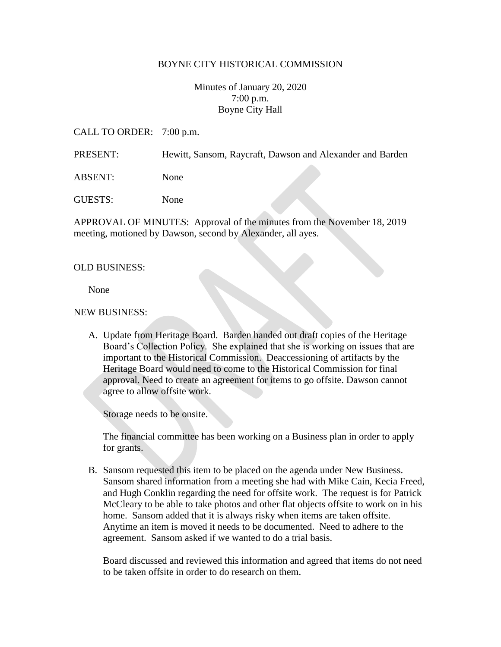## BOYNE CITY HISTORICAL COMMISSION

Minutes of January 20, 2020 7:00 p.m. Boyne City Hall

CALL TO ORDER: 7:00 p.m.

PRESENT: Hewitt, Sansom, Raycraft, Dawson and Alexander and Barden

ABSENT: None

GUESTS: None

APPROVAL OF MINUTES: Approval of the minutes from the November 18, 2019 meeting, motioned by Dawson, second by Alexander, all ayes.

#### OLD BUSINESS:

None

#### NEW BUSINESS:

A. Update from Heritage Board. Barden handed out draft copies of the Heritage Board's Collection Policy. She explained that she is working on issues that are important to the Historical Commission. Deaccessioning of artifacts by the Heritage Board would need to come to the Historical Commission for final approval. Need to create an agreement for items to go offsite. Dawson cannot agree to allow offsite work.

Storage needs to be onsite.

The financial committee has been working on a Business plan in order to apply for grants.

B. Sansom requested this item to be placed on the agenda under New Business. Sansom shared information from a meeting she had with Mike Cain, Kecia Freed, and Hugh Conklin regarding the need for offsite work. The request is for Patrick McCleary to be able to take photos and other flat objects offsite to work on in his home. Sansom added that it is always risky when items are taken offsite. Anytime an item is moved it needs to be documented. Need to adhere to the agreement. Sansom asked if we wanted to do a trial basis.

Board discussed and reviewed this information and agreed that items do not need to be taken offsite in order to do research on them.